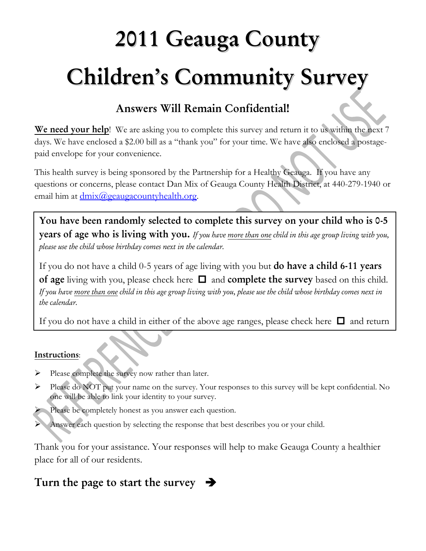# **2011 Geauga County Children's Community Survey**

# **Answers Will Remain Confidential!**

We need your help! We are asking you to complete this survey and return it to us within the next 7 days. We have enclosed a \$2.00 bill as a "thank you" for your time. We have also enclosed a postagepaid envelope for your convenience.

This health survey is being sponsored by the Partnership for a Healthy Geauga. If you have any questions or concerns, please contact Dan Mix of Geauga County Health District, at 440-279-1940 or email him at  $\frac{dmix}{\omega}$ geaugacountyhealth.org.

**You have been randomly selected to complete this survey on your child who is 0-5 years of age who is living with you.** *If you have more than one child in this age group living with you, please use the child whose birthday comes next in the calendar.* 

If you do not have a child 0-5 years of age living with you but **do have a child 6-11 years of age** living with you, please check here  $\Box$  and **complete the survey** based on this child. *If you have more than one child in this age group living with you, please use the child whose birthday comes next in the calendar.*

If you do not have a child in either of the above age ranges, please check here  $\Box$  and return

# **Instructions**:

- $\triangleright$  Please complete the survey now rather than later.
- Please do NOT put your name on the survey. Your responses to this survey will be kept confidential. No one will be able to link your identity to your survey.
- Please be completely honest as you answer each question.

the blank survey in the postage paid  $\mathbf{r}$ 

Answer each question by selecting the response that best describes you or your child.

Thank you for your assistance. Your responses will help to make Geauga County a healthier place for all of our residents.

# Turn the page to start the survey  $\rightarrow$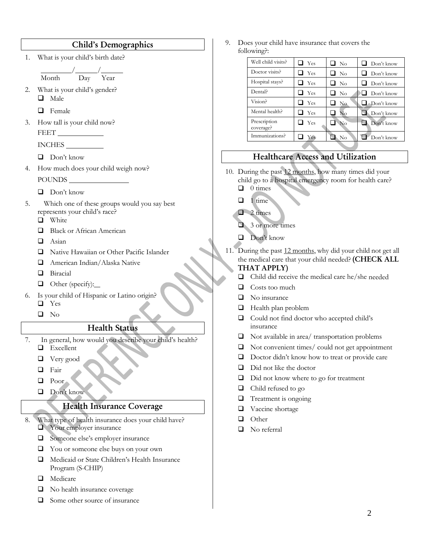#### **Child's Demographics**

1. What is your child's birth date?

/ / Month Day Year

- 2. What is your child's gender?  $\Box$  Male
	- **D** Female
- 3. How tall is your child now? FEET

INCHES

- Don't know
- 4. How much does your child weigh now? POUNDS
	- Don't know
- 5. Which one of these groups would you say best represents your child's race?
	- **D** White
	- Black or African American
	- $\Box$  Asian
	- **Native Hawaiian or Other Pacific Islander**
	- American Indian/Alaska Native
	- **Biracial**
	- $\Box$  Other (specify):
- 6. Is your child of Hispanic or Latino origin?
	- Yes
	- $\Box$  No

### **Health Status**

- 7. In general, how would you describe your child's health? **Q** Excellent
	- Very good
	- **D** Fair
	- **D** Poor
	- Don't know

# **Health Insurance Coverage**

- 8. What type of health insurance does your child have? **Nour employer insurance** 
	- Someone else's employer insurance
	- You or someone else buys on your own
	- Medicaid or State Children's Health Insurance Program (S-CHIP)
	- **Q** Medicare
	- No health insurance coverage
	- $\Box$  Some other source of insurance

9. Does your child have insurance that covers the following?:

| Well child visits?        | $\Box$ Yes | $\Box$ No      | Don't know        |
|---------------------------|------------|----------------|-------------------|
| Doctor visits?            | $\Box$ Yes | N <sub>o</sub> | Don't know        |
| Hospital stays?           | Yes        | No             | Don't know        |
| Dental?                   | $\Box$ Yes | $\Box$ No      | $\Box$ Don't know |
| Vision?                   | $\Box$ Yes | $\rm No$       | $\Box$ Don't know |
| Mental health?            | Yes        | No             | Don't know        |
| Prescription<br>coverage? | $\Box$ Yes | $\Box$ No      | Don't know        |
| Immunizations?            | Yes        | Nο             | Don't know        |

# **Healthcare Access and Utilization**

- 10. During the past 12 months, how many times did your child go to a hospital emergency room for health care?  $\Box$  0 times
	- $\Box$  1 time
	- $\Box$  2 times
	- 3 or more times
	- Don't know
- 11. During the past 12 months, why did your child not get all the medical care that your child needed? **(CHECK ALL THAT APPLY)**
	- $\Box$  Child did receive the medical care he/she needed
	- $\Box$  Costs too much
	- No insurance
	- $\Box$  Health plan problem
	- $\Box$  Could not find doctor who accepted child's insurance
	- Not available in area/ transportation problems
	- $\Box$  Not convenient times/ could not get appointment
	- Doctor didn't know how to treat or provide care
	- $\Box$  Did not like the doctor
	- Did not know where to go for treatment
	- □ Child refused to go
	- $\Box$  Treatment is ongoing
	- $\Box$  Vaccine shortage
	- **Q** Other
	- No referral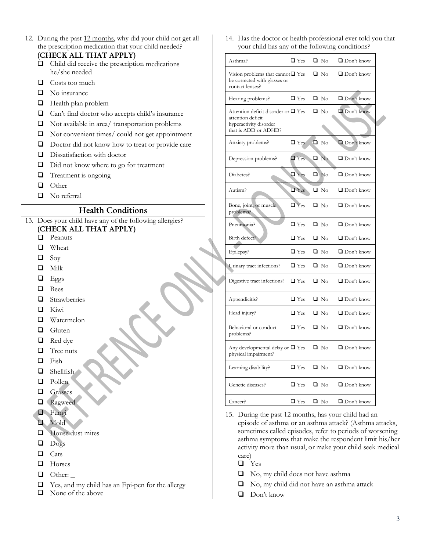12. During the past 12 months, why did your child not get all the prescription medication that your child needed?

## **(CHECK ALL THAT APPLY)**

- $\Box$  Child did receive the prescription medications he/she needed
- $\Box$  Costs too much
- **No** insurance
- $\Box$  Health plan problem
- Can't find doctor who accepts child's insurance
- $\Box$  Not available in area/ transportation problems
- Not convenient times/ could not get appointment
- Doctor did not know how to treat or provide care
- **D** Dissatisfaction with doctor
- Did not know where to go for treatment
- **T** Treatment is ongoing
- **Q** Other
- No referral

#### **Health Conditions**

13. Does your child have any of the following allergies? **(CHECK ALL THAT APPLY)**

- **D** Peanuts
- **Q** Wheat
- $\Box$  Soy
- $\Box$  Milk
- $\Box$  Eggs
- **D** Bees
- **Q** Strawberries
- Kiwi
- **Q** Watermelon
- $\Box$  Gluten
- Red dye
- $\Box$  Tree nuts
- Fish
- Shellfish
- **Q** Pollen
- Grasses
- **Q** Ragweed
- **D** Fungi
- **D** Mold
- **House dust mites**
- Dogs
- $\Box$  Cats
- **u** Horses
- **Other:**
- Yes, and my child has an Epi-pen for the allergy
- **None of the above**

14. Has the doctor or health professional ever told you that your child has any of the following conditions?

| Asthma?                                                                                                    | $\square$ Yes |               | $\square$ No | $\Box$ Don't know |
|------------------------------------------------------------------------------------------------------------|---------------|---------------|--------------|-------------------|
| Vision problems that cannot $\Box$ Yes<br>be corrected with glasses or<br>contact lenses?                  |               |               | $\Box$ No    | $\Box$ Don't know |
| Hearing problems?                                                                                          | $\Box$ Yes    |               | $\Box$ No    | Don't know        |
| Attention deficit disorder or □ Yes<br>attention deficit<br>hyperactivity disorder<br>that is ADD or ADHD? |               |               | $\square$ No | Don't know        |
| Anxiety problems?                                                                                          |               | $\square$ Yes | $\square$ No | $\Box$ Don't know |
| Depression problems?                                                                                       | $\Box$ Yes    |               | $\square$ No | $\Box$ Don't know |
| Diabetes?                                                                                                  | $\Box$ Yes    |               | $\Box$ No    | $\Box$ Don't know |
| Autism?                                                                                                    | $\Box$ Yes    |               | $\square$ No | $\Box$ Don't know |
| Bone, joint, or muscle<br>problems?                                                                        | $\Box$ Yes    |               | $\Box$ No    | $\Box$ Don't know |
| Pneumonia?                                                                                                 | $\square$ Yes |               | $\square$ No | $\Box$ Don't know |
| Birth defect?                                                                                              | $\square$ Yes |               | $\square$ No | $\Box$ Don't know |
| Epilepsy?                                                                                                  | $\square$ Yes |               | $\square$ No | $\Box$ Don't know |
| Urinary tract infections?                                                                                  | $\Box$ Yes    |               | $\Box$ No    | $\Box$ Don't know |
| Digestive tract infections?                                                                                | $\Box$ Yes    |               | $\Box$ No    | $\Box$ Don't know |
| Appendicitis?                                                                                              |               | $\Box$ Yes    | $\square$ No | Don't know        |
| Head injury?                                                                                               | $\square$ Yes |               | $\Box$ No    | $\Box$ Don't know |
| Behavioral or conduct<br>problems?                                                                         | $\square$ Yes |               | $\Box$ No    | $\Box$ Don't know |
| Any developmental delay or $\square$ Yes<br>physical impairment?                                           |               |               | $\square$ No | $\Box$ Don't know |
| Learning disability?                                                                                       | $\square$ Yes |               | $\Box$ No    | $\Box$ Don't know |
| Genetic diseases?                                                                                          |               | $\square$ Yes | $\Box$ No    | $\Box$ Don't know |
| Cancer?                                                                                                    |               | $\square$ Yes | $\Box$ No    | $\Box$ Don't know |

- 15. During the past 12 months, has your child had an episode of asthma or an asthma attack? (Asthma attacks, sometimes called episodes, refer to periods of worsening asthma symptoms that make the respondent limit his/her activity more than usual, or make your child seek medical care)
	- Yes
	- No, my child does not have asthma
	- $\Box$  No, my child did not have an asthma attack
	- Don't know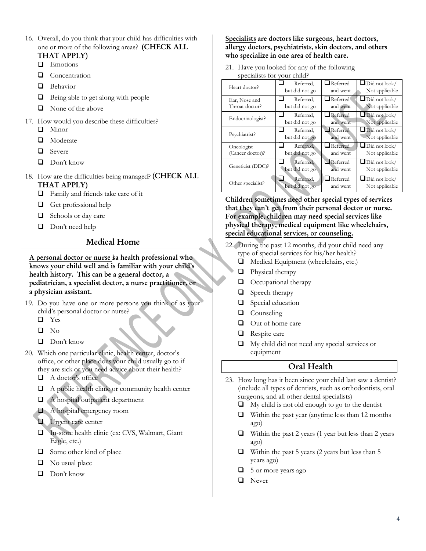16. Overall, do you think that your child has difficulties with one or more of the following areas? **(CHECK ALL**

#### **THAT APPLY)**

- **Emotions**
- **Q** Concentration
- **B**ehavior
- $\Box$  Being able to get along with people
- $\Box$  None of the above
- 17. How would you describe these difficulties?
	- **Q** Minor
	- **O** Moderate
	- **Q** Severe
	- Don't know
- 18. How are the difficulties being managed? **(CHECK ALL THAT APPLY)**
	- Family and friends take care of it
	- Get professional help
	- $\Box$  Schools or day care
	- Don't need help

#### **Medical Home**

**A personal doctor or nurse isa health professional who knows your child well and is familiar with your child's health history. This can be a general doctor, a pediatrician, a specialist doctor, a nurse practitioner, or a physician assistant.**

- 19. Do you have one or more persons you think of as your child's personal doctor or nurse?
	- □ Yes
	- $\Box$  No
	- $\Box$  Don't know
- 20. Which one particular clinic, health center, doctor's office, or other place does your child usually go to if they are sick or you need advice about their health?
	- A doctor's office
	- $\Box$  A public health clinic or community health center
	- A hospital outpatient department
	- A hospital emergency room
	- **U** Urgent care center
	- In-store health clinic (ex: CVS, Walmart, Giant Eagle, etc.)
	- $\Box$  Some other kind of place
	- $\Box$  No usual place
	- Don't know

#### **Specialists are doctors like surgeons, heart doctors, allergy doctors, psychiatrists, skin doctors, and others who specialize in one area of health care.**

21. Have you looked for any of the following specialists for your child?

| Heart doctor?     | Referred.      | $\Box$ Referred | $\Box$ Did not look/ |
|-------------------|----------------|-----------------|----------------------|
|                   | but did not go | and went        | Not applicable       |
| Ear, Nose and     | Referred,      | $\Box$ Referred | $\Box$ Did not look/ |
| Throat doctor?    | but did not go | and went        | Not applicable       |
| Endocrinologist?  | Referred.      | $\Box$ Referred | $\Box$ Did not look/ |
|                   | but did not go | and went        | Not applicable       |
| Psychiatrist?     | Referred.      | $\Box$ Referred | $\Box$ Did not look/ |
|                   | but did not go | and went        | Not applicable       |
| Oncologist        | Referred,      | $\Box$ Referred | $\Box$ Did not look/ |
| (Cancer doctor)?  | but did not go | and went        | Not applicable       |
| Geneticist (DDC)? | Referred,      | $\Box$ Referred | $\Box$ Did not look/ |
|                   | but did not go | and went        | Not applicable       |
| Other specialist? | Referred,      | Referred        | $\Box$ Did not look/ |
|                   | but did not go | and went        | Not applicable       |

**Children sometimes need other special types of services that they can't get from their personal doctor or nurse. For example, children may need special services like physical therapy, medical equipment like wheelchairs, special educational services, or counseling.**

- 22. During the past 12 months, did your child need any type of special services for his/her health?
	- Medical Equipment (wheelchairs, etc.)
	- $\Box$  Physical therapy
	- $\Box$  Occupational therapy
	- $\Box$  Speech therapy
	- $\Box$  Special education
	- **Q** Counseling
	- $\Box$  Out of home care
	- Respite care
	- My child did not need any special services or equipment

### **Oral Health**

- 23. How long has it been since your child last saw a dentist? (include all types of dentists, such as orthodontists, oral surgeons, and all other dental specialists)
	- $\Box$  My child is not old enough to go to the dentist
	- $\Box$  Within the past year (anytime less than 12 months) ago)
	- $\Box$  Within the past 2 years (1 year but less than 2 years ago)
	- $\Box$  Within the past 5 years (2 years but less than 5 years ago)
	- $\Box$  5 or more years ago
	- **Q** Never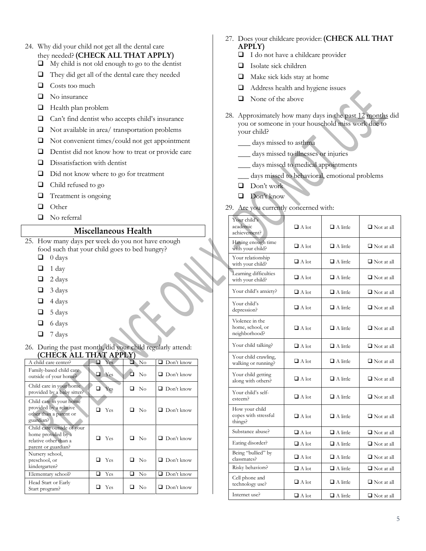- 24. Why did your child not get all the dental care they needed? **(CHECK ALL THAT APPLY)**  $\Box$  My child is not old enough to go to the dentist
	- $\Box$  They did get all of the dental care they needed
	- $\Box$  Costs too much
	- **No** insurance
	- $\Box$  Health plan problem
	- $\Box$  Can't find dentist who accepts child's insurance
	- $\Box$  Not available in area/ transportation problems
	- $\Box$  Not convenient times/could not get appointment
	- Dentist did not know how to treat or provide care
	- $\Box$  Dissatisfaction with dentist
	- $\Box$  Did not know where to go for treatment
	- $\Box$  Child refused to go
	- **T** Treatment is ongoing
	- **Q** Other
	- No referral

#### **Miscellaneous Health**

25. How many days per week do you not have enough food such that your child goes to bed hungry?

- $\Box$  0 days
- $\Box$  1 day
- $\Box$  2 days
- $\Box$  3 days
- $\Box$  4 days
- $\Box$  5 days
- $\Box$  6 days
- $\Box$  7 days
- 26. During the past month, did your child regularly attend: **(CHECK ALL THAT APPLY)**

| A child care center?                                                                             | Yes        | Œ.<br>No.     | $\Box$ Don't know |
|--------------------------------------------------------------------------------------------------|------------|---------------|-------------------|
| Family-based child care<br>outside of your home?                                                 | □<br>Yes   | n<br>No       | $\Box$ Don't know |
| Child care in your home<br>provided by a baby sitter?                                            | □<br>Yes   | $\square$ No  | $\Box$ Don't know |
| Child care in your home<br>provided by a relative<br>other than a parent or<br>guardian?         | Yes        | $\Box$ No     | Don't know<br>l 1 |
| Child care outside of your<br>home provided by a<br>relative other than a<br>parent or guardian? | <b>Yes</b> | $\Box$ No     | $\Box$ Don't know |
| Nursery school,<br>preschool, or<br>kindergarten?                                                | Yes<br>п   | $\Box$ No     | $\Box$ Don't know |
| Elementary school?                                                                               | Yes        | $\rm No$<br>□ | Don't know<br>□   |
| Head Start or Early<br>Start program?                                                            | Yes        | No<br>-       | Don't know<br>ப   |

- 27. Does your childcare provider: **(CHECK ALL THAT APPLY)**
	- $\Box$  I do not have a childcare provider
	- **I** Isolate sick children
	- $\Box$  Make sick kids stay at home
	- Address health and hygiene issues
	- **None of the above**
- 28. Approximately how many days in the past 12 months did you or someone in your household miss work due to your child?
	- days missed to asthma
	- days missed to illnesses or injuries
	- days missed to medical appointments
	- days missed to behavioral, emotional problems
	- Don't work
	- Don't know
- 29. Are you currently concerned with:

| Your child's<br>academic<br>achievement?             | $\Box$ A lot | $\Box$ A little | $\Box$ Not at all |
|------------------------------------------------------|--------------|-----------------|-------------------|
| Having enough time<br>with your child?               | $\Box$ A lot | $\Box$ A little | $\Box$ Not at all |
| Your relationship<br>with your child?                | $\Box$ A lot | $\Box$ A little | $\Box$ Not at all |
| Learning difficulties<br>with your child?            | $\Box$ A lot | $\Box$ A little | $\Box$ Not at all |
| Your child's anxiety?                                | $\Box$ A lot | $\Box$ A little | $\Box$ Not at all |
| Your child's<br>depression?                          | $\Box$ A lot | $\Box$ A little | $\Box$ Not at all |
| Violence in the<br>home, school, or<br>neighborhood? | $\Box$ A lot | $\Box$ A little | $\Box$ Not at all |
| Your child talking?                                  | $\Box$ A lot | $\Box$ A little | $\Box$ Not at all |
| Your child crawling,<br>walking or running?          | $\Box$ A lot | $\Box$ A little | $\Box$ Not at all |
| Your child getting<br>along with others?             | $\Box$ A lot | $\Box$ A little | $\Box$ Not at all |
| Your child's self-<br>esteem?                        | $\Box$ A lot | $\Box$ A little | $\Box$ Not at all |
| How your child<br>copes with stressful<br>things?    | $\Box$ A lot | $\Box$ A little | $\Box$ Not at all |
| Substance abuse?                                     | $\Box$ A lot | $\Box$ A little | $\Box$ Not at all |
| Eating disorder?                                     | $\Box$ A lot | $\Box$ A little | $\Box$ Not at all |
| Being "bullied" by<br>classmates?                    | $\Box$ A lot | $\Box$ A little | $\Box$ Not at all |
| Risky behaviors?                                     | $\Box$ A lot | $\Box$ A little | $\Box$ Not at all |
| Cell phone and<br>technology use?                    | $\Box$ A lot | $\Box$ A little | $\Box$ Not at all |
| Internet use?                                        | $\Box$ A lot | $\Box$ A little | $\Box$ Not at all |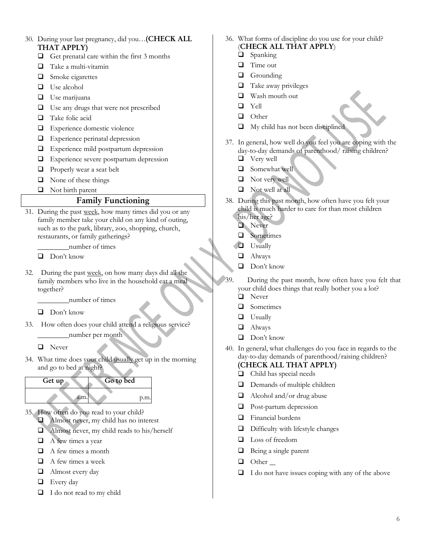- 30. During your last pregnancy, did you…**(CHECK ALL THAT APPLY)**
	- $\Box$  Get prenatal care within the first 3 months
	- Take a multi-vitamin
	- Smoke cigarettes
	- **Use alcohol**
	- $\Box$  Use marijuana
	- □ Use any drugs that were not prescribed
	- **Take folic acid**
	- **Experience domestic violence**
	- **Experience perinatal depression**
	- **Experience mild postpartum depression**
	- **Experience severe postpartum depression**
	- $\Box$  Properly wear a seat belt
	- $\Box$  None of these things
	- Not birth parent

### **Family Functioning**

31. During the past week, how many times did you or any family member take your child on any kind of outing, such as to the park, library, zoo, shopping, church, restaurants, or family gatherings?

number of times

- Don't know
- 32. During the past week, on how many days did all the family members who live in the household eat a meal together?

number of times

Don't know

33. How often does your child attend a religious service? number per month

**Q** Never

34. What time does your child usually get up in the morning and go to bed at night?



35. How often do you read to your child?

Almost never, my child has no interest

- Almost never, my child reads to his/herself
- $\Box$  A few times a year
- $\Box$  A few times a month
- $\Box$  A few times a week
- **Almost every day**
- $\Box$  Every day
- $\Box$  I do not read to my child
- 36. What forms of discipline do you use for your child? (**CHECK ALL THAT APPLY**)
	- $\Box$  Spanking
	- **T** Time out
	- **Q** Grounding
	- $\Box$  Take away privileges
	- Wash mouth out
	- **Q** Yell
	- **Q** Other
	- $\Box$  My child has not been disciplined
- 37. In general, how well do you feel you are coping with the day-to-day demands of parenthood/ raising children?
	- $\Box$  Very well
	- Somewhat well
	- **Not very well**
	- Not well at all
- 38. During this past month, how often have you felt your child is much harder to care for than most children
	- his/her age? **Never**
	- **Q** Sometimes
	- **D** Usually
	- **Q** Always
	- Don't know
- 39. During the past month, how often have you felt that your child does things that really bother you a lot?
	- **Q** Never
	- **Q** Sometimes
	- **U**sually
	- **Q** Always
	- $\Box$  Don't know
- 40. In general, what challenges do you face in regards to the day-to-day demands of parenthood/raising children?
	- **(CHECK ALL THAT APPLY)**
	- Child has special needs
	- Demands of multiple children
	- $\Box$  Alcohol and/or drug abuse
	- **D** Post-partum depression
	- $\Box$  Financial burdens
	- $\Box$  Difficulty with lifestyle changes
	- **Loss of freedom**
	- $\Box$  Being a single parent
	- **Q** Other
	- $\Box$  I do not have issues coping with any of the above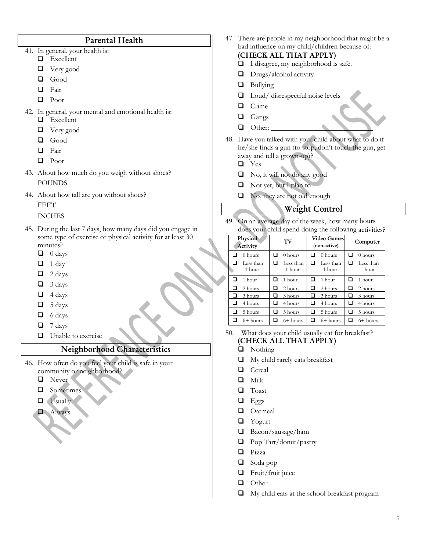### **Parental Health**

- 41. In general, your health is:
	- **Excellent**
	- Very good
	- Good
	- **D** Fair
	- **Q** Poor
- 42. In general, your mental and emotional health is:
	- **Excellent**
	- Very good
	- Good
	- **D** Fair
	- Poor
- 43. About how much do you weigh without shoes? POUNDS
- 44. About how tall are you without shoes?

| EНT<br>$\mathbb{H}^{\times}$ |  |
|------------------------------|--|
| СНЕ                          |  |

- 45. During the last 7 days, how many days did you engage in some type of exercise or physical activity for at least 30 minutes?
	- $\Box$  0 days
	- $\Box$  1 day
	- $\Box$  2 days
	- $\Box$  3 days
	- $\Box$  4 days
	- $\Box$  5 days
	- $\Box$  6 days
	- $\Box$  7 days
	- $\Box$  Unable to exercise

# **Neighborhood Characteristics**

- 46. How often do you feel your child is safe in your community or neighborhood?
	- **Q** Never
	- **Q** Sometimes
	- $\Box$  Usually
	- **Q** Always

47. There are people in my neighborhood that might be a bad influence on my child/children because of:

# **(CHECK ALL THAT APPLY)**

- $\Box$  I disagree, my neighborhood is safe.
- $\Box$  Drugs/alcohol activity
- **Bullying**
- □ Loud/ disrespectful noise levels
- $\Box$  Crime
- **Q** Gangs
- **Other:**
- 48. Have you talked with your child about what to do if he/she finds a gun (to stop, don't touch the gun, get away and tell a grown-up)?
	- Yes
	- $\Box$  No, it will not do any good
	- $\Box$  Not yet, but I plan to
	- $\Box$  No, they are not old enough

## **Weight Control**

49. On an average day of the week, how many hours does your child spend doing the following activities?

|   | Physical<br>Activity |   | TV                  |   | Video Games<br>(non-active) |   | Computer            |
|---|----------------------|---|---------------------|---|-----------------------------|---|---------------------|
|   | $0$ hours            |   | $0$ hours           |   | $0$ hours                   | ப | $0$ hours           |
|   | Less than<br>1 hour  |   | Less than<br>1 hour |   | Less than<br>1 hour         |   | Less than<br>1 hour |
| □ | 1 hour               | ப | 1 hour              | □ | 1 hour                      | □ | 1 hour              |
|   | 2 hours              |   | 2 hours             |   | 2 hours                     |   | 2 hours             |
|   | 3 hours              |   | 3 hours             |   | 3 hours                     |   | 3 hours             |
|   | 4 hours              |   | 4 hours             |   | 4 hours                     |   | 4 hours             |
|   | 5 hours              |   | 5 hours             |   | 5 hours                     |   | 5 hours             |
|   | $6+$ hours           |   | $6+$ hours          |   | $6+$ hours                  |   | $6+$ hours          |

- 50. What does your child usually eat for breakfast? **(CHECK ALL THAT APPLY)**
	- **Q** Nothing
	- $\Box$  My child rarely eats breakfast
	- **Q** Cereal
	- $\Box$  Milk
	- **Q** Toast
	- $\Box$  Eggs
	- **Q** Oatmeal
	- **Q** Yogurt
	- Bacon/sausage/ham
	- $\Box$  Pop Tart/donut/pastry
	- **D** Pizza
	- Soda pop
	- $\Box$  Fruit/fruit juice
	- **Q** Other
	- My child eats at the school breakfast program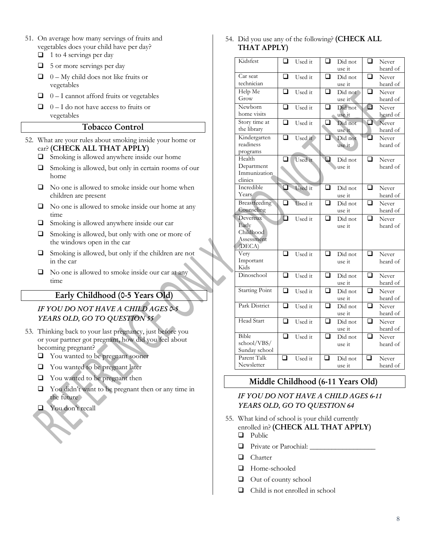- 51. On average how many servings of fruits and vegetables does your child have per day?
	- $\Box$  1 to 4 servings per day
	- $\Box$  5 or more servings per day
	- $\Box$  0 My child does not like fruits or vegetables
	- $\Box$  0 I cannot afford fruits or vegetables
	- $\Box$  0 I do not have access to fruits or vegetables

#### **Tobacco Control**

- 52. What are your rules about smoking inside your home or car? **(CHECK ALL THAT APPLY)**
	- $\square$  Smoking is allowed anywhere inside our home
	- Smoking is allowed, but only in certain rooms of our home
	- $\Box$  No one is allowed to smoke inside our home when children are present
	- No one is allowed to smoke inside our home at any time
	- $\Box$  Smoking is allowed anywhere inside our car
	- $\Box$  Smoking is allowed, but only with one or more of the windows open in the car
	- Smoking is allowed, but only if the children are not in the car
	- $\Box$  No one is allowed to smoke inside our car at any time

### **Early Childhood (0-5 Years Old)**

#### *IF YOU DO NOT HAVE A CHILD AGES 0-5 YEARS OLD, GO TO QUESTION 55*

- 53. Thinking back to your last pregnancy, just before you or your partner got pregnant, how did you feel about becoming pregnant?
	- You wanted to be pregnant sooner
	- You wanted to be pregnant later
	- $\Box$  You wanted to be pregnant then
	- You didn't want to be pregnant then or any time in the future
	- **Q** You don't recall

54. Did you use any of the following? **(CHECK ALL THAT APPLY)**

| Kidsfest                     | ◻      | Used it | □              | Did not | <b>□</b> | Never    |
|------------------------------|--------|---------|----------------|---------|----------|----------|
|                              |        |         |                | use it  |          | heard of |
| Car seat                     | □      | Used it | □              | Did not | □        | Never    |
| technician                   |        |         |                | use it  |          | heard of |
| Help Me                      | □      | Used it | ◘              | Did not | □        | Never    |
| Grow                         |        |         |                | use it  |          | heard of |
| Newborn                      | □      | Used it | □              | Did not | Ó        | Never    |
| home visits                  |        |         |                | use it  |          | heard of |
| Story time at                | ◻      | Used it | ◻              | Did not | ◘        | Never    |
| the library                  |        |         |                | use it  |          | heard of |
| Kindergarten                 | $\Box$ | Used it | $\Box$         | Did not | n        | Never    |
| readiness                    |        |         |                | use it  |          | heard of |
| programs                     |        |         |                |         |          |          |
| Health                       | $\Box$ | Used it | $\blacksquare$ | Did not | □        | Never    |
| Department                   |        |         |                | use it  |          | heard of |
| Immunization                 |        |         |                |         |          |          |
| clinics                      |        |         |                |         |          |          |
| Incredible                   | Ò      | Used it | $\Box$         | Did not | <b>□</b> | Never    |
| Years                        |        |         |                | use it  |          | heard of |
| Breastfeeding                | $\Box$ | Used it | □              | Did not | <b>□</b> | Never    |
| Counseling                   |        |         |                | use it  |          | heard of |
| Devereux                     | n      | Used it | ⊓              | Did not | ∩        | Never    |
| Early                        |        |         |                | use it  |          | heard of |
| Childhood                    |        |         |                |         |          |          |
| Assessment                   |        |         |                |         |          |          |
| (DECA)                       |        |         |                |         |          |          |
| Very                         | ◻      | Used it | ◻              | Did not | ◻        | Never    |
| Important<br>Kids            |        |         |                | use it  |          | heard of |
| Dinoschool                   | $\Box$ |         | □              |         | <b>□</b> |          |
|                              |        | Used it |                | Did not |          | Never    |
| <b>Starting Point</b>        |        |         |                | use it  |          | heard of |
|                              | ◻      | Used it | ❏              | Did not | <b>□</b> | Never    |
| Park District                | $\Box$ |         | $\Box$         | use it  | $\Box$   | heard of |
|                              |        | Used it |                | Did not |          | Never    |
|                              |        |         |                | use it  |          | heard of |
| <b>Head Start</b>            | □      | Used it | □              | Did not | □        | Never    |
|                              |        |         |                | use it  |          | heard of |
| <b>Bible</b>                 | □      | Used it | □              | Did not | ∩        | Never    |
| school/VBS/                  |        |         |                | use it  |          | heard of |
| Sunday school<br>Parent Talk |        |         | ◻              |         | □        |          |
| Newsletter                   | ❏      | Used it |                | Did not |          | Never    |
|                              |        |         |                | use it  |          | heard of |

# **Middle Childhood (6-11 Years Old)**

#### *IF YOU DO NOT HAVE A CHILD AGES 6-11 YEARS OLD, GO TO QUESTION 64*

- 55. What kind of school is your child currently enrolled in? **(CHECK ALL THAT APPLY) Q** Public
	-
	- **Q** Private or Parochial:
	- **Q** Charter
	- **Home-schooled**
	- $\Box$  Out of county school
	- □ Child is not enrolled in school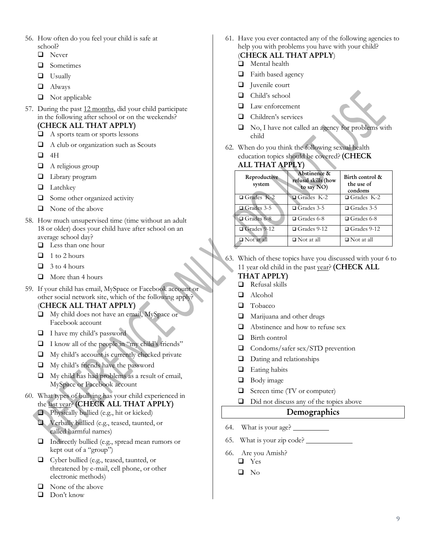- 56. How often do you feel your child is safe at school?
	- **Q** Never
	- **Q** Sometimes
	- **U**sually
	- **Q** Always
	- $\Box$  Not applicable
- 57. During the past 12 months, did your child participate in the following after school or on the weekends?

# **(CHECK ALL THAT APPLY)**

- A sports team or sports lessons
- $\Box$  A club or organization such as Scouts
- $\Box$  4H
- $\Box$  A religious group
- **Library** program
- $\Box$  Latchkey
- $\Box$  Some other organized activity
- $\Box$  None of the above
- 58. How much unsupervised time (time without an adult 18 or older) does your child have after school on an average school day?
	- **Less than one hour**
	- $\Box$  1 to 2 hours
	- $\Box$  3 to 4 hours
	- $\Box$  More than 4 hours
- 59. If your child has email, MySpace or Facebook account or other social network site, which of the following apply?

#### (**CHECK ALL THAT APPLY)**

- My child does not have an email, MySpace or Facebook account
- **I** I have my child's password
- I know all of the people in "my child's friends"
- $\Box$  My child's account is currently checked private
- My child's friends have the password
- $\Box$  My child has had problems as a result of email, MySpace or Facebook account
- 60. What types of bullying has your child experienced in the last year? **(CHECK ALL THAT APPLY)**
	- Physically bullied (e.g., hit or kicked)
	- Verbally bullied (e.g., teased, taunted, or called harmful names)
	- Indirectly bullied (e.g., spread mean rumors or kept out of a "group")
	- □ Cyber bullied (e.g., teased, taunted, or threatened by e-mail, cell phone, or other electronic methods)
	- $\Box$  None of the above
	- Don't know
- 61. Have you ever contacted any of the following agencies to help you with problems you have with your child?
	- (**CHECK ALL THAT APPLY**)
	- **Nental health**
	- $\Box$  Faith based agency
	- **J** Iuvenile court
	- □ Child's school
	- **Law enforcement**
	- **Q** Children's services
	- $\Box$  No, I have not called an agency for problems with child
- 62. When do you think the following sexual health education topics should be covered? **(CHECK**

#### **ALL THAT APPLY)**

| Reproductive<br>system | Abstinence &<br>refusal skills (how<br>to say NO) | Birth control &<br>the use of<br>condoms |
|------------------------|---------------------------------------------------|------------------------------------------|
| Grades K-2             | Grades K-2                                        | $\Box$ Grades K-2                        |
| $\Box$ Grades 3-5      | $\Box$ Grades 3-5                                 | $\Box$ Grades 3-5                        |
| Grades 6-8             | $\Box$ Grades 6-8                                 | $\Box$ Grades 6-8                        |
| □ Grades 9-12          | $\Box$ Grades 9-12                                | $\Box$ Grades 9-12                       |
| $\Box$ Not at all      | $\square$ Not at all                              | $\Box$ Not at all                        |

63. Which of these topics have you discussed with your 6 to 11 year old child in the past year? **(CHECK ALL**

#### **THAT APPLY)**

- Refusal skills
- Alcohol
- **O** Tobacco
- $\Box$  Marijuana and other drugs
- $\Box$  Abstinence and how to refuse sex
- **Birth control**
- □ Condoms/safer sex/STD prevention
- $\Box$  Dating and relationships
- $\Box$  Eating habits
- **Body** image
- $\Box$  Screen time (TV or computer)
- $\Box$  Did not discuss any of the topics above

#### **Demographics**

- 64. What is your age?
- 65. What is your zip code?
- 66. Are you Amish?
	- Yes
	- $\Box$  No